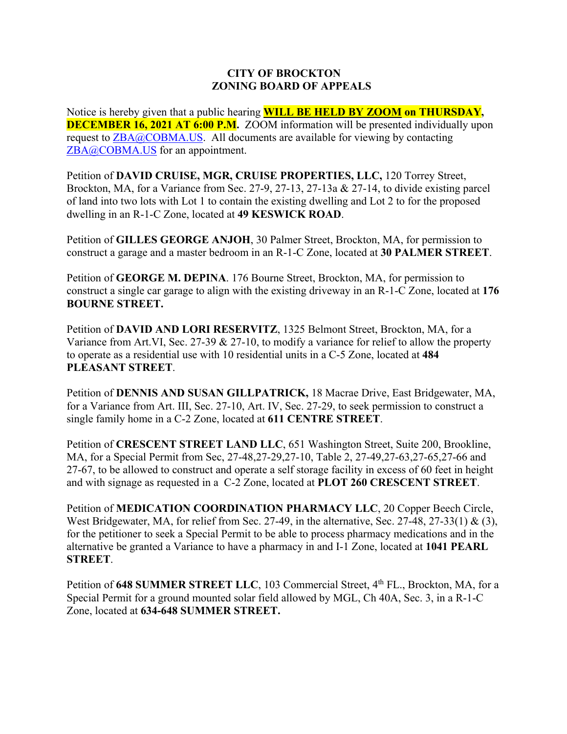## **CITY OF BROCKTON ZONING BOARD OF APPEALS**

Notice is hereby given that a public hearing **WILL BE HELD BY ZOOM on THURSDAY, DECEMBER 16, 2021 AT 6:00 P.M.** ZOOM information will be presented individually upon request to  $ZBA@COBMA.US$ . All documents are available for viewing by contacting ZBA@COBMA.US for an appointment.

Petition of **DAVID CRUISE, MGR, CRUISE PROPERTIES, LLC,** 120 Torrey Street, Brockton, MA, for a Variance from Sec. 27-9, 27-13, 27-13a & 27-14, to divide existing parcel of land into two lots with Lot 1 to contain the existing dwelling and Lot 2 to for the proposed dwelling in an R-1-C Zone, located at **49 KESWICK ROAD**.

Petition of **GILLES GEORGE ANJOH**, 30 Palmer Street, Brockton, MA, for permission to construct a garage and a master bedroom in an R-1-C Zone, located at **30 PALMER STREET**.

Petition of **GEORGE M. DEPINA**. 176 Bourne Street, Brockton, MA, for permission to construct a single car garage to align with the existing driveway in an R-1-C Zone, located at **176 BOURNE STREET.** 

Petition of **DAVID AND LORI RESERVITZ**, 1325 Belmont Street, Brockton, MA, for a Variance from Art.VI, Sec. 27-39 & 27-10, to modify a variance for relief to allow the property to operate as a residential use with 10 residential units in a C-5 Zone, located at **484 PLEASANT STREET**.

Petition of **DENNIS AND SUSAN GILLPATRICK,** 18 Macrae Drive, East Bridgewater, MA, for a Variance from Art. III, Sec. 27-10, Art. IV, Sec. 27-29, to seek permission to construct a single family home in a C-2 Zone, located at **611 CENTRE STREET**.

Petition of **CRESCENT STREET LAND LLC**, 651 Washington Street, Suite 200, Brookline, MA, for a Special Permit from Sec, 27-48,27-29,27-10, Table 2, 27-49,27-63,27-65,27-66 and 27-67, to be allowed to construct and operate a self storage facility in excess of 60 feet in height and with signage as requested in a C-2 Zone, located at **PLOT 260 CRESCENT STREET**.

Petition of **MEDICATION COORDINATION PHARMACY LLC**, 20 Copper Beech Circle, West Bridgewater, MA, for relief from Sec. 27-49, in the alternative, Sec. 27-48, 27-33(1) & (3), for the petitioner to seek a Special Permit to be able to process pharmacy medications and in the alternative be granted a Variance to have a pharmacy in and I-1 Zone, located at **1041 PEARL STREET**.

Petition of 648 SUMMER STREET LLC, 103 Commercial Street, 4<sup>th</sup> FL., Brockton, MA, for a Special Permit for a ground mounted solar field allowed by MGL, Ch 40A, Sec. 3, in a R-1-C Zone, located at **634-648 SUMMER STREET.**